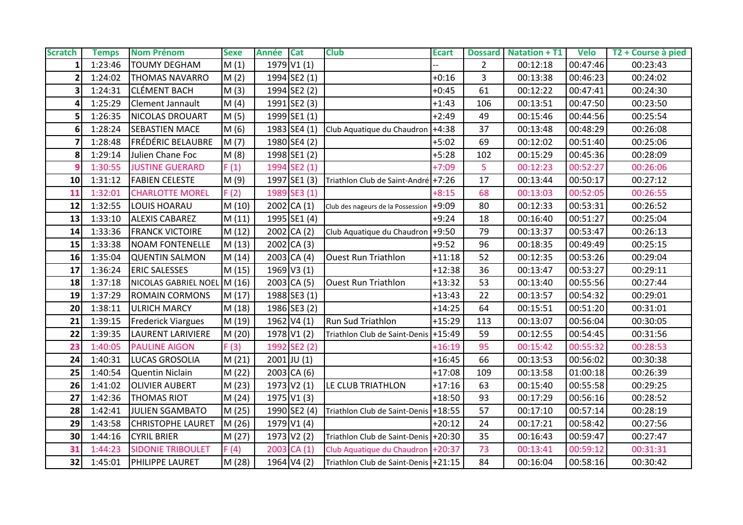| <b>Scratch</b> | <b>Temps</b> | <b>Nom Prénom</b>           | <b>Sexe</b> | <b>Année</b> | <b>Cat</b>       | <b>Club</b>                             | <b>Ecart</b> |                | <b>Dossard</b> Natation + T1 | <b>Velo</b> | T2 + Course à pied |
|----------------|--------------|-----------------------------|-------------|--------------|------------------|-----------------------------------------|--------------|----------------|------------------------------|-------------|--------------------|
|                | 1:23:46      | <b>TOUMY DEGHAM</b>         | M(1)        |              | 1979 V1 (1)      |                                         |              | $\overline{2}$ | 00:12:18                     | 00:47:46    | 00:23:43           |
|                | 1:24:02      | <b>THOMAS NAVARRO</b>       | M(2)        |              | 1994 SE2 (1)     |                                         | $+0:16$      | 3              | 00:13:38                     | 00:46:23    | 00:24:02           |
|                | 1:24:31      | <b>CLÉMENT BACH</b>         | M(3)        |              | 1994 SE2 (2)     |                                         | $+0:45$      | 61             | 00:12:22                     | 00:47:41    | 00:24:30           |
|                | 1:25:29      | Clement Jannault            | M(4)        |              | 1991 SE2 (3)     |                                         | $+1:43$      | 106            | 00:13:51                     | 00:47:50    | 00:23:50           |
|                | 1:26:35      | <b>NICOLAS DROUART</b>      | M(5)        |              | 1999 SE1 (1)     |                                         | $+2:49$      | 49             | 00:15:46                     | 00:44:56    | 00:25:54           |
| 6              | 1:28:24      | <b>SEBASTIEN MACE</b>       | M(6)        |              | $1983$ SE4 $(1)$ | Club Aquatique du Chaudron +4:38        |              | 37             | 00:13:48                     | 00:48:29    | 00:26:08           |
|                | 1:28:48      | <b>FRÉDÉRIC BELAUBRE</b>    | M(7)        |              | 1980 SE4 (2)     |                                         | $+5:02$      | 69             | 00:12:02                     | 00:51:40    | 00:25:06           |
| 8              | 1:29:14      | Julien Chane Foc            | M(8)        |              | 1998 SE1 (2)     |                                         | $+5:28$      | 102            | 00:15:29                     | 00:45:36    | 00:28:09           |
|                | 1:30:55      | <b>JUSTINE GUERARD</b>      | F(1)        |              | 1994 SE2 (1)     |                                         | $+7:09$      | 5              | 00:12:23                     | 00:52:27    | 00:26:06           |
| 10             | 1:31:12      | <b>FABIEN CELESTE</b>       | M (9)       |              | 1997 SE1 (3)     | Triathlon Club de Saint-André +7:26     |              | 17             | 00:13:44                     | 00:50:17    | 00:27:12           |
| 11             | 1:32:01      | <b>CHARLOTTE MOREL</b>      | F(2)        |              | 1989 SE3 (1)     |                                         | $+8:15$      | 68             | 00:13:03                     | 00:52:05    | 00:26:55           |
| 12             | 1:32:55      | LOUIS HOARAU                | M(10)       |              | $2002$ CA (1)    | Club des nageurs de la Possession +9:09 |              | 80             | 00:12:33                     | 00:53:31    | 00:26:52           |
| 13             | 1:33:10      | <b>ALEXIS CABAREZ</b>       | M(11)       |              | 1995 SE1 (4)     |                                         | $+9:24$      | 18             | 00:16:40                     | 00:51:27    | 00:25:04           |
| 14             | 1:33:36      | <b>FRANCK VICTOIRE</b>      | M(12)       |              | $2002$ CA (2)    | Club Aquatique du Chaudron +9:50        |              | 79             | 00:13:37                     | 00:53:47    | 00:26:13           |
| 15             | 1:33:38      | <b>NOAM FONTENELLE</b>      | M(13)       |              | 2002 CA (3)      |                                         | $+9:52$      | 96             | 00:18:35                     | 00:49:49    | 00:25:15           |
| 16             | 1:35:04      | <b>QUENTIN SALMON</b>       | M(14)       |              | $2003$ CA (4)    | <b>Ouest Run Triathlon</b>              | $+11:18$     | 52             | 00:12:35                     | 00:53:26    | 00:29:04           |
| 17             | 1:36:24      | <b>ERIC SALESSES</b>        | M (15)      |              | 1969 V3 (1)      |                                         | $+12:38$     | 36             | 00:13:47                     | 00:53:27    | 00:29:11           |
| 18             | 1:37:18      | NICOLAS GABRIEL NOEL M (16) |             |              | $2003$ CA (5)    | <b>Ouest Run Triathlon</b>              | $+13:32$     | 53             | 00:13:40                     | 00:55:56    | 00:27:44           |
| 19             | 1:37:29      | <b>ROMAIN CORMONS</b>       | M (17)      |              | 1988 SE3 (1)     |                                         | $+13:43$     | 22             | 00:13:57                     | 00:54:32    | 00:29:01           |
| 20             | 1:38:11      | <b>ULRICH MARCY</b>         | M (18)      |              | 1986 SE3 (2)     |                                         | $+14:25$     | 64             | 00:15:51                     | 00:51:20    | 00:31:01           |
| 21             | 1:39:15      | <b>Frederick Viargues</b>   | M (19)      |              | 1962 V4 (1)      | <b>Run Sud Triathlon</b>                | $+15:29$     | 113            | 00:13:07                     | 00:56:04    | 00:30:05           |
| 22             | 1:39:35      | LAURENT LARIVIERE           | M (20)      |              | 1978 V1 (2)      | Triathlon Club de Saint-Denis           | $+15:49$     | 59             | 00:12:55                     | 00:54:45    | 00:31:56           |
| 23             | 1:40:05      | <b>PAULINE AIGON</b>        | F(3)        |              | 1992 SE2 (2)     |                                         | $+16:19$     | 95             | 00:15:42                     | 00:55:32    | 00:28:53           |
| 24             | 1:40:31      | <b>LUCAS GROSOLIA</b>       | M(21)       |              | $2001$ JU $(1)$  |                                         | $+16:45$     | 66             | 00:13:53                     | 00:56:02    | 00:30:38           |
| 25             | 1:40:54      | Quentin Niclain             | M (22)      |              | $2003$ CA (6)    |                                         | $+17:08$     | 109            | 00:13:58                     | 01:00:18    | 00:26:39           |
| 26             | 1:41:02      | <b>OLIVIER AUBERT</b>       | M(23)       |              | 1973 V2 (1)      | LE CLUB TRIATHLON                       | $+17:16$     | 63             | 00:15:40                     | 00:55:58    | 00:29:25           |
| 27             | 1:42:36      | <b>THOMAS RIOT</b>          | M(24)       |              | 1975 V1 (3)      |                                         | $+18:50$     | 93             | 00:17:29                     | 00:56:16    | 00:28:52           |
| 28             | 1:42:41      | <b>JULIEN SGAMBATO</b>      | M (25)      |              | 1990 SE2 (4)     | Triathlon Club de Saint-Denis +18:55    |              | 57             | 00:17:10                     | 00:57:14    | 00:28:19           |
| 29             | 1:43:58      | <b>CHRISTOPHE LAURET</b>    | M (26)      |              | 1979 V1 (4)      |                                         | $+20:12$     | 24             | 00:17:21                     | 00:58:42    | 00:27:56           |
| 30             | 1:44:16      | <b>CYRIL BRIER</b>          | M (27)      |              | 1973 V2 (2)      | Triathlon Club de Saint-Denis +20:30    |              | 35             | 00:16:43                     | 00:59:47    | 00:27:47           |
| 31             | 1:44:23      | <b>SIDONIE TRIBOULET</b>    | F(4)        |              | $2003$ CA $(1)$  | Club Aquatique du Chaudron +20:37       |              | 73             | 00:13:41                     | 00:59:12    | 00:31:31           |
| 32             | 1:45:01      | <b>PHILIPPE LAURET</b>      | M (28)      |              | 1964 V4 (2)      | Triathlon Club de Saint-Denis +21:15    |              | 84             | 00:16:04                     | 00:58:16    | 00:30:42           |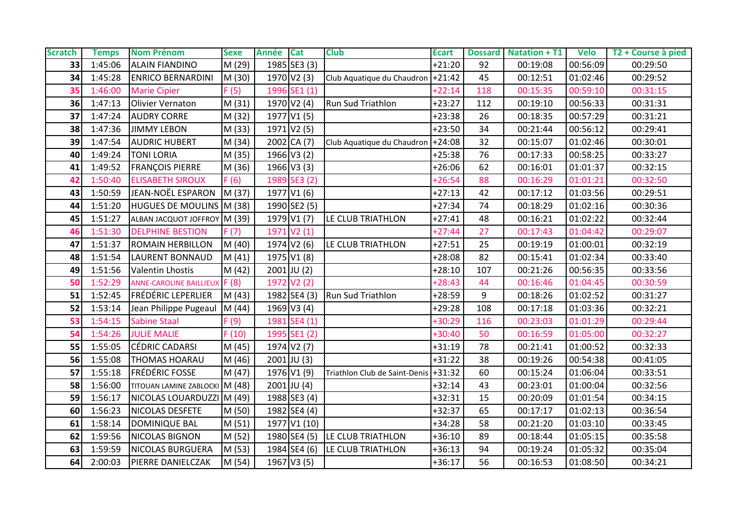| <b>Scratch</b> | <b>Temps</b> | <b>Nom Prénom</b>              | <b>Sexe</b> | <b>Année</b> | <b>Cat</b>              | <b>Club</b>                       | <b>Ecart</b> |     | <b>Dossard</b> Natation + T1 | <b>Velo</b> | T2 + Course à pied |
|----------------|--------------|--------------------------------|-------------|--------------|-------------------------|-----------------------------------|--------------|-----|------------------------------|-------------|--------------------|
| 33             | 1:45:06      | <b>ALAIN FIANDINO</b>          | M (29)      |              | $1985$ SE3 $(3)$        |                                   | $+21:20$     | 92  | 00:19:08                     | 00:56:09    | 00:29:50           |
| 34             | 1:45:28      | <b>ENRICO BERNARDINI</b>       | M (30)      |              | 1970 V2 (3)             | Club Aquatique du Chaudron +21:42 |              | 45  | 00:12:51                     | 01:02:46    | 00:29:52           |
| 35             | 1:46:00      | <b>Marie Cipier</b>            | F(5)        |              | 1996 SE1 (1)            |                                   | $+22:14$     | 118 | 00:15:35                     | 00:59:10    | 00:31:15           |
| 36             | 1:47:13      | Olivier Vernaton               | M (31)      |              | 1970 V2 (4)             | <b>Run Sud Triathlon</b>          | $+23:27$     | 112 | 00:19:10                     | 00:56:33    | 00:31:31           |
| 37             | 1:47:24      | <b>AUDRY CORRE</b>             | M (32)      |              | 1977 V1 (5)             |                                   | $+23:38$     | 26  | 00:18:35                     | 00:57:29    | 00:31:21           |
| 38             | 1:47:36      | <b>JIMMY LEBON</b>             | M (33)      |              | 1971 V2 (5)             |                                   | $+23:50$     | 34  | 00:21:44                     | 00:56:12    | 00:29:41           |
| 39             | 1:47:54      | <b>AUDRIC HUBERT</b>           | M (34)      |              | $2002$ CA (7)           | Club Aquatique du Chaudron +24:08 |              | 32  | 00:15:07                     | 01:02:46    | 00:30:01           |
| 40             | 1:49:24      | <b>TONI LORIA</b>              | M (35)      |              | 1966 V3 (2)             |                                   | $+25:38$     | 76  | 00:17:33                     | 00:58:25    | 00:33:27           |
| 41             | 1:49:52      | <b>FRANÇOIS PIERRE</b>         | M (36)      |              | 1966 V3 (3)             |                                   | $+26:06$     | 62  | 00:16:01                     | 01:01:37    | 00:32:15           |
| 42             | 1:50:40      | <b>ELISABETH SIROUX</b>        | F(6)        |              | 1989 SE3 (2)            |                                   | $+26:54$     | 88  | 00:16:29                     | 01:01:21    | 00:32:50           |
| 43             | 1:50:59      | JEAN-NOËL ESPARON              | M (37)      |              | 1977 V1 (6)             |                                   | $+27:13$     | 42  | 00:17:12                     | 01:03:56    | 00:29:51           |
| 44             | 1:51:20      | HUGUES DE MOULINS M (38)       |             |              | 1990 SE2 (5)            |                                   | $+27:34$     | 74  | 00:18:29                     | 01:02:16    | 00:30:36           |
| 45             | 1:51:27      | ALBAN JACQUOT JOFFROY M (39)   |             |              | 1979 V1 (7)             | LE CLUB TRIATHLON                 | $+27:41$     | 48  | 00:16:21                     | 01:02:22    | 00:32:44           |
| 46             | 1:51:30      | <b>DELPHINE BESTION</b>        | F(7)        |              | 1971 V2 (1)             |                                   | $+27:44$     | 27  | 00:17:43                     | 01:04:42    | 00:29:07           |
| 47             | 1:51:37      | <b>ROMAIN HERBILLON</b>        | M (40)      |              | 1974 V <sub>2</sub> (6) | LE CLUB TRIATHLON                 | $+27:51$     | 25  | 00:19:19                     | 01:00:01    | 00:32:19           |
| 48             | 1:51:54      | <b>LAURENT BONNAUD</b>         | M(41)       |              | 1975 V1 (8)             |                                   | $+28:08$     | 82  | 00:15:41                     | 01:02:34    | 00:33:40           |
| 49             | 1:51:56      | <b>Valentin Lhostis</b>        | M(42)       |              | $2001$ JU (2)           |                                   | $+28:10$     | 107 | 00:21:26                     | 00:56:35    | 00:33:56           |
| 50             | 1:52:29      | <b>ANNE-CAROLINE BAILLIEUX</b> | F(8)        |              | 1972 V2 (2)             |                                   | $+28:43$     | 44  | 00:16:46                     | 01:04:45    | 00:30:59           |
| 51             | 1:52:45      | <b>FRÉDÉRIC LEPERLIER</b>      | M(43)       |              |                         | 1982 SE4 (3) Run Sud Triathlon    | $+28:59$     | 9   | 00:18:26                     | 01:02:52    | 00:31:27           |
| 52             | 1:53:14      | Jean Philippe Pugeaul          | M (44)      |              | 1969 V3 (4)             |                                   | $+29:28$     | 108 | 00:17:18                     | 01:03:36    | 00:32:21           |
| 53             | 1:54:15      | <b>Sabine Staal</b>            | F(9)        |              | 1981 SE4 (1)            |                                   | $+30:29$     | 116 | 00:23:03                     | 01:01:29    | 00:29:44           |
| 54             | 1:54:26      | <b>JULIE MALIE</b>             | F(10)       |              | 1995 SE1 (2)            |                                   | $+30:40$     | 50  | 00:16:59                     | 01:05:00    | 00:32:27           |
| 55             | 1:55:05      | <b>CÉDRIC CADARSI</b>          | M (45)      |              | 1974 V2 (7)             |                                   | $+31:19$     | 78  | 00:21:41                     | 01:00:52    | 00:32:33           |
| 56             | 1:55:08      | <b>THOMAS HOARAU</b>           | M (46)      |              | $2001$ JU $(3)$         |                                   | $+31:22$     | 38  | 00:19:26                     | 00:54:38    | 00:41:05           |
| 57             | 1:55:18      | <b>FRÉDÉRIC FOSSE</b>          | M (47)      |              | 1976 V1 (9)             | Triathlon Club de Saint-Denis     | $+31:32$     | 60  | 00:15:24                     | 01:06:04    | 00:33:51           |
| 58             | 1:56:00      | TITOUAN LAMINE ZABLOCKI M (48) |             |              | $2001$ JU (4)           |                                   | $+32:14$     | 43  | 00:23:01                     | 01:00:04    | 00:32:56           |
| 59             | 1:56:17      | NICOLAS LOUARDUZZI             | M (49)      |              | 1988 SE3 (4)            |                                   | $+32:31$     | 15  | 00:20:09                     | 01:01:54    | 00:34:15           |
| 60             | 1:56:23      | NICOLAS DESFETE                | M (50)      |              | 1982 SE4 (4)            |                                   | $+32:37$     | 65  | 00:17:17                     | 01:02:13    | 00:36:54           |
| 61             | 1:58:14      | DOMINIQUE BAL                  | M (51)      |              | 1977 V1 (10)            |                                   | $+34:28$     | 58  | 00:21:20                     | 01:03:10    | 00:33:45           |
| 62             | 1:59:56      | <b>NICOLAS BIGNON</b>          | M (52)      |              |                         | 1980 SE4 (5) LE CLUB TRIATHLON    | $+36:10$     | 89  | 00:18:44                     | 01:05:15    | 00:35:58           |
| 63             | 1:59:59      | <b>NICOLAS BURGUERA</b>        | M (53)      |              | 1984 SE4 (6)            | LE CLUB TRIATHLON                 | $+36:13$     | 94  | 00:19:24                     | 01:05:32    | 00:35:04           |
| 64             | 2:00:03      | PIERRE DANIELCZAK              | M (54)      |              | 1967 V3 (5)             |                                   | $+36:17$     | 56  | 00:16:53                     | 01:08:50    | 00:34:21           |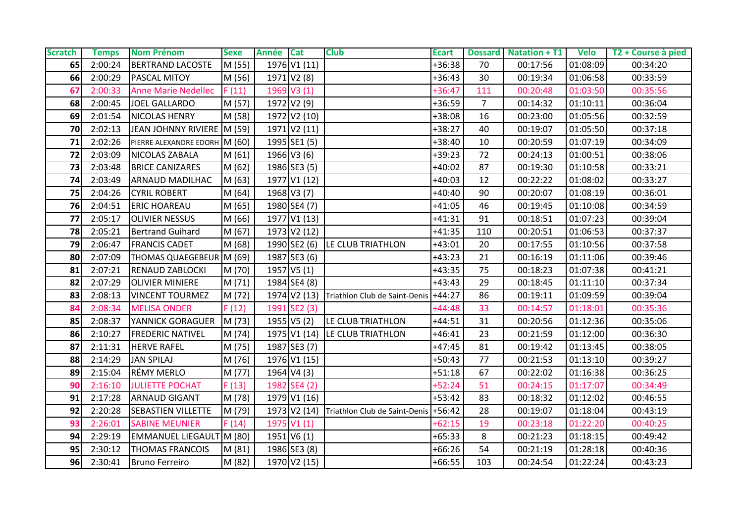| <b>Scratch</b> | <b>Temps</b> | <b>Nom Prénom</b>             | <b>Sexe</b> | Année Cat |               | <b>Club</b>                                       | <b>Ecart</b> |                | Dossard Natation + T1 Velo |          | T2 + Course à pied |
|----------------|--------------|-------------------------------|-------------|-----------|---------------|---------------------------------------------------|--------------|----------------|----------------------------|----------|--------------------|
| 65             | 2:00:24      | <b>BERTRAND LACOSTE</b>       | M (55)      |           | 1976 V1 (11)  |                                                   | +36:38       | 70             | 00:17:56                   | 01:08:09 | 00:34:20           |
| 66             | 2:00:29      | <b>PASCAL MITOY</b>           | M (56)      |           | 1971 V2 (8)   |                                                   | $+36:43$     | 30             | 00:19:34                   | 01:06:58 | 00:33:59           |
| 67             | 2:00:33      | <b>Anne Marie Nedellec</b>    | F(11)       |           | 1969 V3 (1)   |                                                   | $+36:47$     | 111            | 00:20:48                   | 01:03:50 | 00:35:56           |
| 68             | 2:00:45      | <b>JOEL GALLARDO</b>          | M (57)      |           | 1972 V2 (9)   |                                                   | +36:59       | $\overline{7}$ | 00:14:32                   | 01:10:11 | 00:36:04           |
| 69             | 2:01:54      | <b>NICOLAS HENRY</b>          | M (58)      |           | 1972 V2 (10)  |                                                   | +38:08       | 16             | 00:23:00                   | 01:05:56 | 00:32:59           |
| 70             | 2:02:13      | JEAN JOHNNY RIVIERE M (59)    |             |           | 1971 V2 (11)  |                                                   | $+38:27$     | 40             | 00:19:07                   | 01:05:50 | 00:37:18           |
| 71             | 2:02:26      | PIERRE ALEXANDRE EDORH M (60) |             |           | 1995 SE1 (5)  |                                                   | $+38:40$     | 10             | 00:20:59                   | 01:07:19 | 00:34:09           |
| 72             | 2:03:09      | NICOLAS ZABALA                | M (61)      |           | 1966 V3 (6)   |                                                   | $+39:23$     | 72             | 00:24:13                   | 01:00:51 | 00:38:06           |
| 73             | 2:03:48      | <b>BRICE CANIZARES</b>        | M (62)      |           | 1986 SE3 (5)  |                                                   | +40:02       | 87             | 00:19:30                   | 01:10:58 | 00:33:21           |
| 74             | 2:03:49      | <b>ARNAUD MADILHAC</b>        | M (63)      |           | 1977 V1 (12)  |                                                   | $+40:03$     | 12             | 00:22:22                   | 01:08:02 | 00:33:27           |
| 75             | 2:04:26      | <b>CYRIL ROBERT</b>           | M(64)       |           | 1968 V3 (7)   |                                                   | $+40:40$     | 90             | 00:20:07                   | 01:08:19 | 00:36:01           |
| 76             | 2:04:51      | <b>ERIC HOAREAU</b>           | M (65)      |           | 1980 SE4 (7)  |                                                   | $+41:05$     | 46             | 00:19:45                   | 01:10:08 | 00:34:59           |
| 77             | 2:05:17      | <b>OLIVIER NESSUS</b>         | M (66)      |           | 1977 V1 (13)  |                                                   | $+41:31$     | 91             | 00:18:51                   | 01:07:23 | 00:39:04           |
| 78             | 2:05:21      | <b>Bertrand Guihard</b>       | M (67)      |           | 1973 V2 (12)  |                                                   | $+41:35$     | 110            | 00:20:51                   | 01:06:53 | 00:37:37           |
| 79             | 2:06:47      | <b>FRANCIS CADET</b>          | M (68)      |           |               | 1990 SE2 (6) LE CLUB TRIATHLON                    | $+43:01$     | 20             | 00:17:55                   | 01:10:56 | 00:37:58           |
| 80             | 2:07:09      | THOMAS QUAEGEBEUR M (69)      |             |           | 1987 SE3 (6)  |                                                   | $+43:23$     | 21             | 00:16:19                   | 01:11:06 | 00:39:46           |
| 81             | 2:07:21      | <b>RENAUD ZABLOCKI</b>        | M (70)      |           | $1957$ V5 (1) |                                                   | $+43:35$     | 75             | 00:18:23                   | 01:07:38 | 00:41:21           |
| 82             | 2:07:29      | <b>OLIVIER MINIERE</b>        | M(71)       |           | 1984 SE4 (8)  |                                                   | $+43:43$     | 29             | 00:18:45                   | 01:11:10 | 00:37:34           |
| 83             | 2:08:13      | <b>VINCENT TOURMEZ</b>        | M (72)      |           | 1974 V2 (13)  | Triathlon Club de Saint-Denis                     | $+44:27$     | 86             | 00:19:11                   | 01:09:59 | 00:39:04           |
| 84             | 2:08:34      | <b>MELISA ONDER</b>           | F(12)       |           | 1991 SE2 (3)  |                                                   | $+44:48$     | 33             | 00:14:57                   | 01:18:01 | 00:35:36           |
| 85             | 2:08:37      | YANNICK GORAGUER              | M (73)      |           | $1955$ V5 (2) | LE CLUB TRIATHLON                                 | $+44:51$     | 31             | 00:20:56                   | 01:12:36 | 00:35:06           |
| 86             | 2:10:27      | <b>FREDERIC NATIVEL</b>       | M (74)      |           |               | 1975 V1 (14) LE CLUB TRIATHLON                    | $+46:41$     | 23             | 00:21:59                   | 01:12:00 | 00:36:30           |
| 87             | 2:11:31      | <b>HERVE RAFEL</b>            | M (75)      |           | 1987 SE3 (7)  |                                                   | $+47:45$     | 81             | 00:19:42                   | 01:13:45 | 00:38:05           |
| 88             | 2:14:29      | <b>JAN SPILAJ</b>             | M (76)      |           | 1976 V1 (15)  |                                                   | $+50:43$     | 77             | 00:21:53                   | 01:13:10 | 00:39:27           |
| 89             | 2:15:04      | <b>RÉMY MERLO</b>             | M (77)      |           | $1964$ V4 (3) |                                                   | $+51:18$     | 67             | 00:22:02                   | 01:16:38 | 00:36:25           |
| 90             | 2:16:10      | <b>JULIETTE POCHAT</b>        | F(13)       |           | 1982 SE4 (2)  |                                                   | $+52:24$     | 51             | 00:24:15                   | 01:17:07 | 00:34:49           |
| 91             | 2:17:28      | <b>ARNAUD GIGANT</b>          | M (78)      |           | 1979 V1 (16)  |                                                   | $+53:42$     | 83             | 00:18:32                   | 01:12:02 | 00:46:55           |
| 92             | 2:20:28      | <b>SEBASTIEN VILLETTE</b>     | M (79)      |           |               | 1973 V2 (14) Triathlon Club de Saint-Denis +56:42 |              | 28             | 00:19:07                   | 01:18:04 | 00:43:19           |
| 93             | 2:26:01      | <b>SABINE MEUNIER</b>         | F(14)       |           | 1975 V1 (1)   |                                                   | $+62:15$     | 19             | 00:23:18                   | 01:22:20 | 00:40:25           |
| 94             | 2:29:19      | EMMANUEL LIEGAULT M (80)      |             |           | $1951$ V6 (1) |                                                   | $+65:33$     | 8              | 00:21:23                   | 01:18:15 | 00:49:42           |
| 95             | 2:30:12      | <b>THOMAS FRANCOIS</b>        | M (81)      |           | 1986 SE3 (8)  |                                                   | +66:26       | 54             | 00:21:19                   | 01:28:18 | 00:40:36           |
| 96             | 2:30:41      | Bruno Ferreiro                | M (82)      |           | 1970 V2 (15)  |                                                   | $+66:55$     | 103            | 00:24:54                   | 01:22:24 | 00:43:23           |